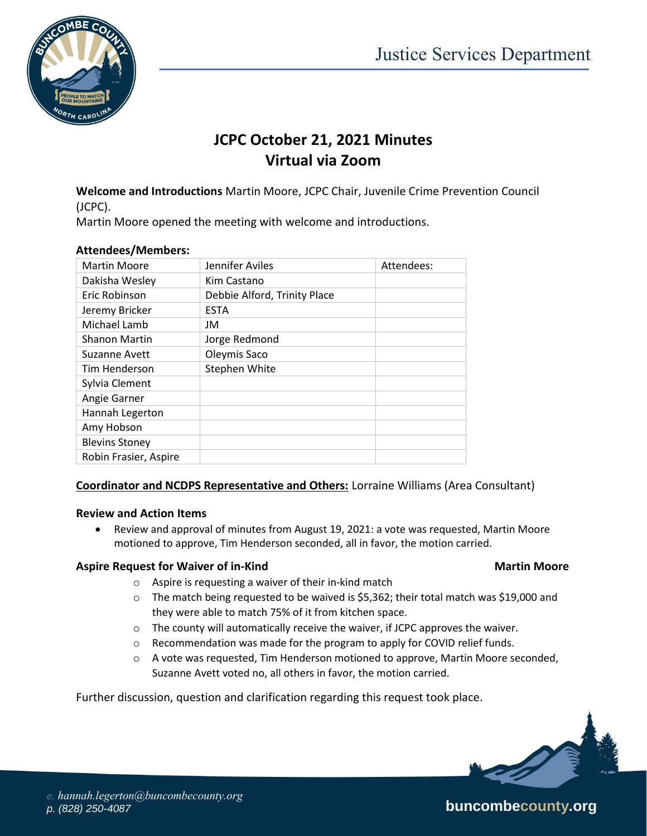

## **JCPC October 21, 2021 Minutes Virtual via Zoom**

**Welcome and Introductions** Martin Moore, JCPC Chair, Juvenile Crime Prevention Council (JCPC).

Martin Moore opened the meeting with welcome and introductions.

| <b>Martin Moore</b>   | Jennifer Aviles              | Attendees: |
|-----------------------|------------------------------|------------|
| Dakisha Wesley        | Kim Castano                  |            |
| Eric Robinson         | Debbie Alford, Trinity Place |            |
| Jeremy Bricker        | <b>ESTA</b>                  |            |
| Michael Lamb          | JM                           |            |
| <b>Shanon Martin</b>  | Jorge Redmond                |            |
| Suzanne Avett         | Oleymis Saco                 |            |
| Tim Henderson         | Stephen White                |            |
| Sylvia Clement        |                              |            |
| Angie Garner          |                              |            |
| Hannah Legerton       |                              |            |
| Amy Hobson            |                              |            |
| <b>Blevins Stoney</b> |                              |            |
| Robin Frasier, Aspire |                              |            |

### **Attendees/Members:**

### **Coordinator and NCDPS Representative and Others:** Lorraine Williams (Area Consultant)

#### **Review and Action Items**

 Review and approval of minutes from August 19, 2021: a vote was requested, Martin Moore motioned to approve, Tim Henderson seconded, all in favor, the motion carried.

#### **Aspire Request for Waiver of in-Kind Martin Moore**

- o Aspire is requesting a waiver of their in-kind match
- $\circ$  The match being requested to be waived is \$5,362; their total match was \$19,000 and they were able to match 75% of it from kitchen space.
- o The county will automatically receive the waiver, if JCPC approves the waiver.
- o Recommendation was made for the program to apply for COVID relief funds.
- $\circ$  A vote was requested, Tim Henderson motioned to approve, Martin Moore seconded, Suzanne Avett voted no, all others in favor, the motion carried.

Further discussion, question and clarification regarding this request took place.